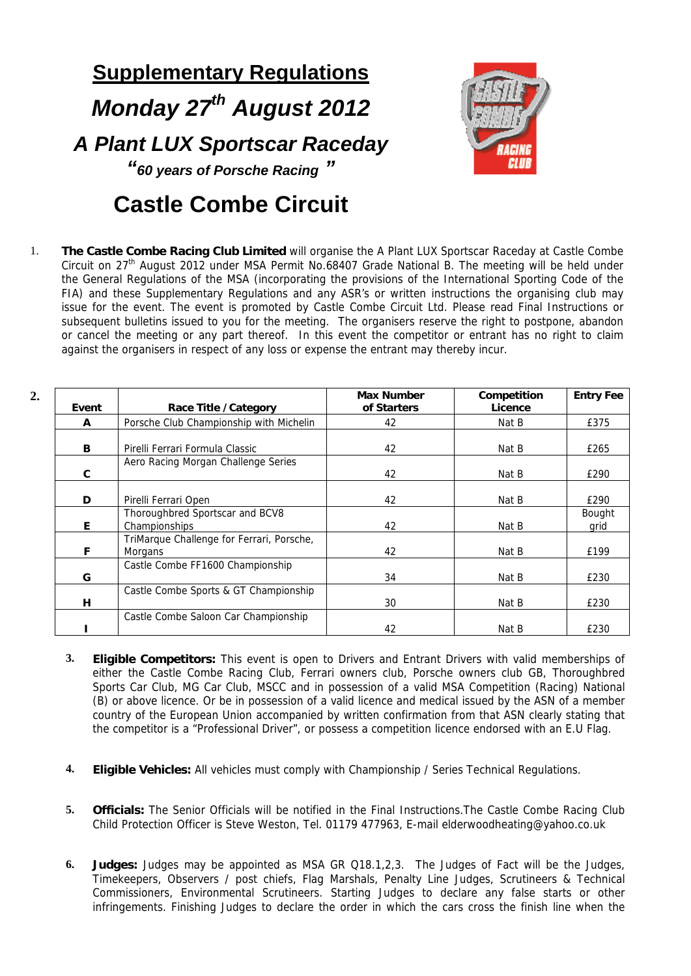## **Supplementary Regulations**  *Monday 27th August 2012 A Plant LUX Sportscar Raceday "60 years of Porsche Racing "*  **Castle Combe Circuit**



1. **The Castle Combe Racing Club Limited** will organise the A Plant LUX Sportscar Raceday at Castle Combe Circuit on 27<sup>th</sup> August 2012 under MSA Permit No.68407 Grade National B. The meeting will be held under the General Regulations of the MSA (incorporating the provisions of the International Sporting Code of the FIA) and these Supplementary Regulations and any ASR's or written instructions the organising club may issue for the event. The event is promoted by Castle Combe Circuit Ltd. Please read Final Instructions or subsequent bulletins issued to you for the meeting. The organisers reserve the right to postpone, abandon or cancel the meeting or any part thereof. In this event the competitor or entrant has no right to claim against the organisers in respect of any loss or expense the entrant may thereby incur.

| 2. | Event | Race Title / Category                                | <b>Max Number</b><br>of Starters | Competition<br>Licence | <b>Entry Fee</b> |
|----|-------|------------------------------------------------------|----------------------------------|------------------------|------------------|
|    | A     | Porsche Club Championship with Michelin              | 42                               | Nat B                  | £375             |
|    | В     | Pirelli Ferrari Formula Classic                      | 42                               | Nat B                  | £265             |
|    | C     | Aero Racing Morgan Challenge Series                  | 42                               | Nat B                  | £290             |
|    | D     | Pirelli Ferrari Open                                 | 42                               | Nat B                  | £290             |
|    | E     | Thoroughbred Sportscar and BCV8<br>Championships     | 42                               | Nat B                  | Bought<br>grid   |
|    | F     | TriMarque Challenge for Ferrari, Porsche,<br>Morgans | 42                               | Nat B                  | £199             |
|    | G     | Castle Combe FF1600 Championship                     | 34                               | Nat B                  | £230             |
|    | н     | Castle Combe Sports & GT Championship                | 30                               | Nat B                  | £230             |
|    |       | Castle Combe Saloon Car Championship                 | 42                               | Nat B                  | £230             |

- **3. Eligible Competitors:** This event is open to Drivers and Entrant Drivers with valid memberships of either the Castle Combe Racing Club, Ferrari owners club, Porsche owners club GB, Thoroughbred Sports Car Club, MG Car Club, MSCC and in possession of a valid MSA Competition (Racing) National (B) or above licence. Or be in possession of a valid licence and medical issued by the ASN of a member country of the European Union accompanied by written confirmation from that ASN clearly stating that the competitor is a "Professional Driver", or possess a competition licence endorsed with an E.U Flag.
- **4. Eligible Vehicles:** All vehicles must comply with Championship / Series Technical Regulations.
- **5. Officials:** The Senior Officials will be notified in the Final Instructions.The Castle Combe Racing Club Child Protection Officer is Steve Weston, Tel. 01179 477963, E-mail elderwoodheating@yahoo.co.uk
- **6. Judges:** Judges may be appointed as MSA GR Q18.1,2,3. The Judges of Fact will be the Judges, Timekeepers, Observers / post chiefs, Flag Marshals, Penalty Line Judges, Scrutineers & Technical Commissioners, Environmental Scrutineers. Starting Judges to declare any false starts or other infringements. Finishing Judges to declare the order in which the cars cross the finish line when the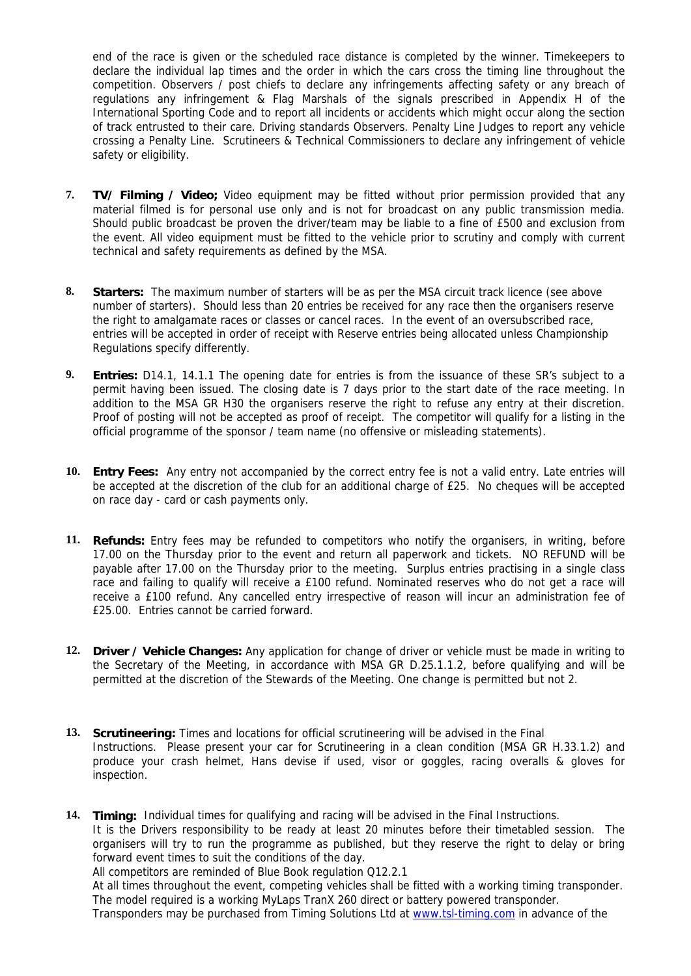end of the race is given or the scheduled race distance is completed by the winner. Timekeepers to declare the individual lap times and the order in which the cars cross the timing line throughout the competition. Observers / post chiefs to declare any infringements affecting safety or any breach of regulations any infringement & Flag Marshals of the signals prescribed in Appendix H of the International Sporting Code and to report all incidents or accidents which might occur along the section of track entrusted to their care. Driving standards Observers. Penalty Line Judges to report any vehicle crossing a Penalty Line. Scrutineers & Technical Commissioners to declare any infringement of vehicle safety or eligibility.

- **7. TV/ Filming / Video;** Video equipment may be fitted without prior permission provided that any material filmed is for personal use only and is not for broadcast on any public transmission media. Should public broadcast be proven the driver/team may be liable to a fine of £500 and exclusion from the event. All video equipment must be fitted to the vehicle prior to scrutiny and comply with current technical and safety requirements as defined by the MSA.
- **8. Starters:** The maximum number of starters will be as per the MSA circuit track licence (see above number of starters). Should less than 20 entries be received for any race then the organisers reserve the right to amalgamate races or classes or cancel races. In the event of an oversubscribed race, entries will be accepted in order of receipt with Reserve entries being allocated unless Championship Regulations specify differently.
- **9. Entries:** D14.1, 14.1.1 The opening date for entries is from the issuance of these SR's subject to a permit having been issued. The closing date is 7 days prior to the start date of the race meeting. In addition to the MSA GR H30 the organisers reserve the right to refuse any entry at their discretion. Proof of posting will not be accepted as proof of receipt. The competitor will qualify for a listing in the official programme of the sponsor / team name (no offensive or misleading statements).
- **10. Entry Fees:** Any entry not accompanied by the correct entry fee is not a valid entry. Late entries will be accepted at the discretion of the club for an additional charge of £25. No cheques will be accepted on race day - card or cash payments only.
- **11. Refunds:** Entry fees may be refunded to competitors who notify the organisers, in writing, before 17.00 on the Thursday prior to the event and return all paperwork and tickets. NO REFUND will be payable after 17.00 on the Thursday prior to the meeting. Surplus entries practising in a single class race and failing to qualify will receive a £100 refund. Nominated reserves who do not get a race will receive a £100 refund. Any cancelled entry irrespective of reason will incur an administration fee of £25.00. Entries cannot be carried forward.
- **12. Driver / Vehicle Changes:** Any application for change of driver or vehicle must be made in writing to the Secretary of the Meeting, in accordance with MSA GR D.25.1.1.2, before qualifying and will be permitted at the discretion of the Stewards of the Meeting. One change is permitted but not 2.
- **13. Scrutineering:** Times and locations for official scrutineering will be advised in the Final Instructions. Please present your car for Scrutineering in a clean condition (MSA GR H.33.1.2) and produce your crash helmet, Hans devise if used, visor or goggles, racing overalls & gloves for inspection.

**14. Timing:** Individual times for qualifying and racing will be advised in the Final Instructions. It is the Drivers responsibility to be ready at least 20 minutes before their timetabled session. The organisers will try to run the programme as published, but they reserve the right to delay or bring forward event times to suit the conditions of the day. All competitors are reminded of Blue Book regulation Q12.2.1

At all times throughout the event, competing vehicles shall be fitted with a working timing transponder. The model required is a working MyLaps TranX 260 direct or battery powered transponder. Transponders may be purchased from Timing Solutions Ltd at www.tsl-timing.com in advance of the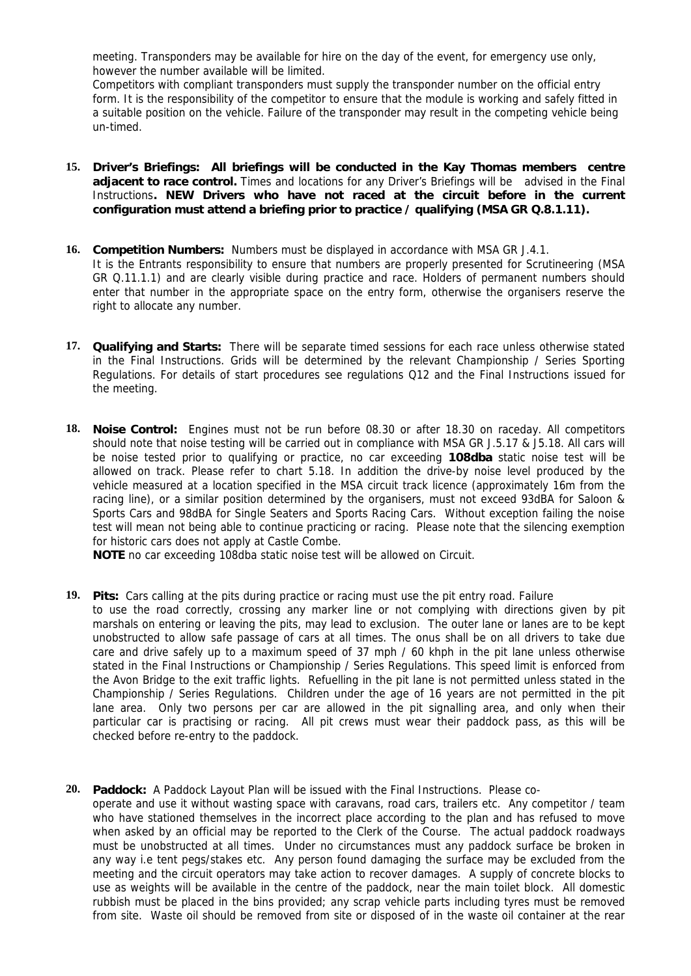meeting. Transponders may be available for hire on the day of the event, for emergency use only, however the number available will be limited.

Competitors with compliant transponders must supply the transponder number on the official entry form. It is the responsibility of the competitor to ensure that the module is working and safely fitted in a suitable position on the vehicle. Failure of the transponder may result in the competing vehicle being un-timed.

- **15. Driver's Briefings: All briefings will be conducted in the Kay Thomas members centre adjacent to race control.** Times and locations for any Driver's Briefings will be advised in the Final Instructions**. NEW Drivers who have not raced at the circuit before in the current configuration must attend a briefing prior to practice / qualifying (MSA GR Q.8.1.11).**
- **16. Competition Numbers:** Numbers must be displayed in accordance with MSA GR J.4.1. It is the Entrants responsibility to ensure that numbers are properly presented for Scrutineering (MSA GR Q.11.1.1) and are clearly visible during practice and race. Holders of permanent numbers should enter that number in the appropriate space on the entry form, otherwise the organisers reserve the right to allocate any number.
- **17. Qualifying and Starts:** There will be separate timed sessions for each race unless otherwise stated in the Final Instructions. Grids will be determined by the relevant Championship / Series Sporting Regulations. For details of start procedures see regulations Q12 and the Final Instructions issued for the meeting.
- **18. Noise Control:** Engines must not be run before 08.30 or after 18.30 on raceday. All competitors should note that noise testing will be carried out in compliance with MSA GR J.5.17 & J5.18. All cars will be noise tested prior to qualifying or practice, no car exceeding **108dba** static noise test will be allowed on track. Please refer to chart 5.18. In addition the drive-by noise level produced by the vehicle measured at a location specified in the MSA circuit track licence (approximately 16m from the racing line), or a similar position determined by the organisers, must not exceed 93dBA for Saloon & Sports Cars and 98dBA for Single Seaters and Sports Racing Cars. Without exception failing the noise test will mean not being able to continue practicing or racing. Please note that the silencing exemption for historic cars does not apply at Castle Combe.

**NOTE** no car exceeding 108dba static noise test will be allowed on Circuit.

- **19. Pits:** Cars calling at the pits during practice or racing must use the pit entry road. Failure to use the road correctly, crossing any marker line or not complying with directions given by pit marshals on entering or leaving the pits, may lead to exclusion. The outer lane or lanes are to be kept unobstructed to allow safe passage of cars at all times. The onus shall be on all drivers to take due care and drive safely up to a maximum speed of 37 mph / 60 khph in the pit lane unless otherwise stated in the Final Instructions or Championship / Series Regulations. This speed limit is enforced from the Avon Bridge to the exit traffic lights. Refuelling in the pit lane is not permitted unless stated in the Championship / Series Regulations. Children under the age of 16 years are not permitted in the pit lane area. Only two persons per car are allowed in the pit signalling area, and only when their particular car is practising or racing. All pit crews must wear their paddock pass, as this will be checked before re-entry to the paddock.
- **20. Paddock:** A Paddock Layout Plan will be issued with the Final Instructions.Please cooperate and use it without wasting space with caravans, road cars, trailers etc. Any competitor / team who have stationed themselves in the incorrect place according to the plan and has refused to move when asked by an official may be reported to the Clerk of the Course. The actual paddock roadways must be unobstructed at all times. Under no circumstances must any paddock surface be broken in any way i.e tent pegs/stakes etc. Any person found damaging the surface may be excluded from the meeting and the circuit operators may take action to recover damages. A supply of concrete blocks to use as weights will be available in the centre of the paddock, near the main toilet block. All domestic rubbish must be placed in the bins provided; any scrap vehicle parts including tyres must be removed from site. Waste oil should be removed from site or disposed of in the waste oil container at the rear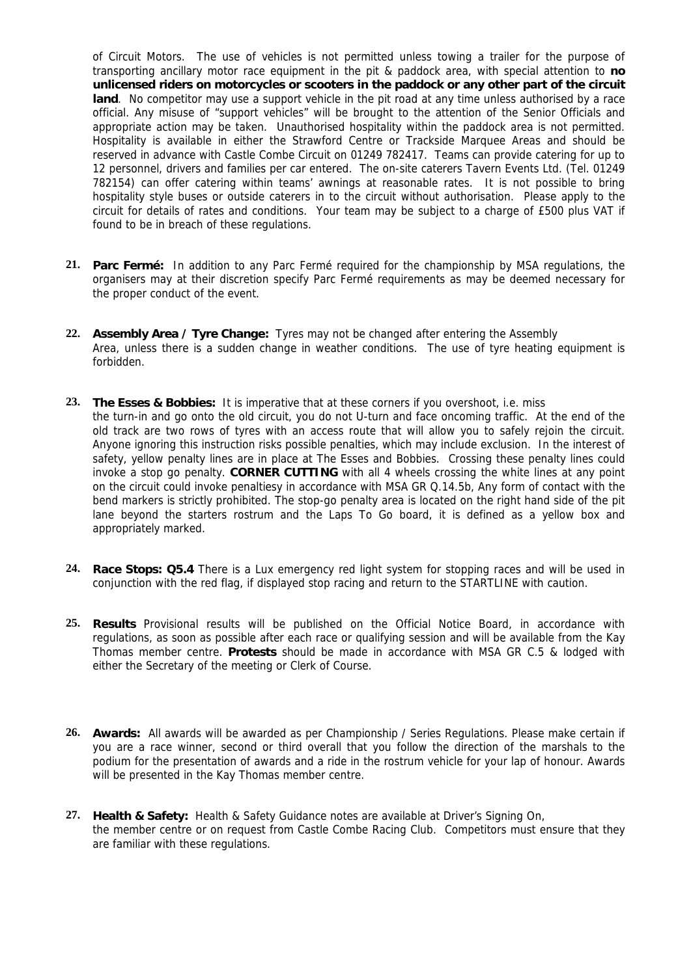of Circuit Motors. The use of vehicles is not permitted unless towing a trailer for the purpose of transporting ancillary motor race equipment in the pit & paddock area, with special attention to **no unlicensed riders on motorcycles or scooters in the paddock or any other part of the circuit**  land. No competitor may use a support vehicle in the pit road at any time unless authorised by a race official. Any misuse of "support vehicles" will be brought to the attention of the Senior Officials and appropriate action may be taken. Unauthorised hospitality within the paddock area is not permitted. Hospitality is available in either the Strawford Centre or Trackside Marquee Areas and should be reserved in advance with Castle Combe Circuit on 01249 782417. Teams can provide catering for up to 12 personnel, drivers and families per car entered. The on-site caterers Tavern Events Ltd. (Tel. 01249 782154) can offer catering within teams' awnings at reasonable rates. It is not possible to bring hospitality style buses or outside caterers in to the circuit without authorisation. Please apply to the circuit for details of rates and conditions. Your team may be subject to a charge of £500 plus VAT if found to be in breach of these regulations.

- **21. Parc Fermé:** In addition to any Parc Fermé required for the championship by MSA regulations, the organisers may at their discretion specify Parc Fermé requirements as may be deemed necessary for the proper conduct of the event.
- **22. Assembly Area / Tyre Change:** Tyres may not be changed after entering the Assembly Area, unless there is a sudden change in weather conditions. The use of tyre heating equipment is forbidden.
- **23. The Esses & Bobbies:** It is imperative that at these corners if you overshoot, i.e. miss the turn-in and go onto the old circuit, you do not U-turn and face oncoming traffic. At the end of the old track are two rows of tyres with an access route that will allow you to safely rejoin the circuit. Anyone ignoring this instruction risks possible penalties, which may include exclusion. In the interest of safety, yellow penalty lines are in place at The Esses and Bobbies. Crossing these penalty lines could invoke a stop go penalty. **CORNER CUTTING** with all 4 wheels crossing the white lines at any point on the circuit could invoke penaltiesy in accordance with MSA GR Q.14.5b, Any form of contact with the bend markers is strictly prohibited. The stop-go penalty area is located on the right hand side of the pit lane beyond the starters rostrum and the Laps To Go board, it is defined as a yellow box and appropriately marked.
- **24. Race Stops: Q5.4** There is a Lux emergency red light system for stopping races and will be used in conjunction with the red flag, if displayed stop racing and return to the STARTLINE with caution.
- **25. Results** Provisional results will be published on the Official Notice Board, in accordance with regulations, as soon as possible after each race or qualifying session and will be available from the Kay Thomas member centre. **Protests** should be made in accordance with MSA GR C.5 & lodged with either the Secretary of the meeting or Clerk of Course.
- **26. Awards:** All awards will be awarded as per Championship / Series Regulations. Please make certain if you are a race winner, second or third overall that you follow the direction of the marshals to the podium for the presentation of awards and a ride in the rostrum vehicle for your lap of honour. Awards will be presented in the Kay Thomas member centre.
- **27. Health & Safety:** Health & Safety Guidance notes are available at Driver's Signing On, the member centre or on request from Castle Combe Racing Club. Competitors must ensure that they are familiar with these regulations.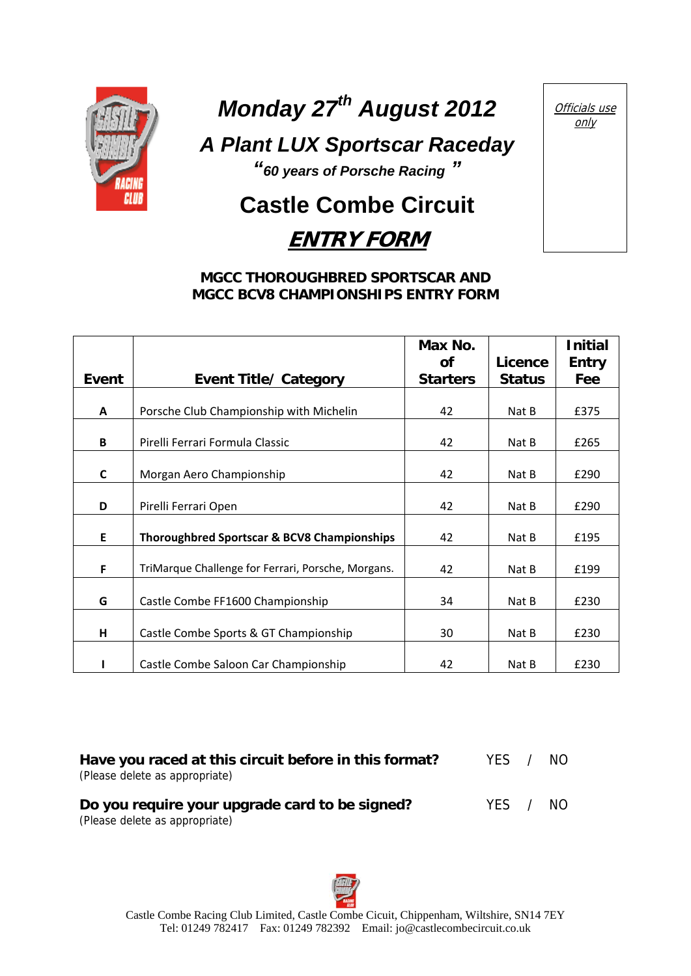

# *Monday 27th August 2012*

*A Plant LUX Sportscar Raceday* 

*"60 years of Porsche Racing "* 

## **Castle Combe Circuit**

### **ENTRY FORM**

#### **MGCC THOROUGHBRED SPORTSCAR AND MGCC BCV8 CHAMPIONSHIPS ENTRY FORM**

|       |                                                    | Max No.         |               | <b>Initial</b> |
|-------|----------------------------------------------------|-----------------|---------------|----------------|
|       |                                                    | <b>of</b>       | Licence       | <b>Entry</b>   |
| Event | <b>Event Title/ Category</b>                       | <b>Starters</b> | <b>Status</b> | Fee            |
|       |                                                    |                 |               |                |
| A     | Porsche Club Championship with Michelin            | 42              | Nat B         | £375           |
| B     | Pirelli Ferrari Formula Classic                    | 42              | Nat B         | £265           |
| C     | Morgan Aero Championship                           | 42              | Nat B         | £290           |
| D     | Pirelli Ferrari Open                               | 42              | Nat B         | £290           |
| E     | Thoroughbred Sportscar & BCV8 Championships        | 42              | Nat B         | £195           |
| F     | TriMarque Challenge for Ferrari, Porsche, Morgans. | 42              | Nat B         | £199           |
| G     | Castle Combe FF1600 Championship                   | 34              | Nat B         | £230           |
| н     | Castle Combe Sports & GT Championship              | 30              | Nat B         | £230           |
|       | Castle Combe Saloon Car Championship               | 42              | Nat B         | £230           |

| Have you raced at this circuit before in this format?<br>(Please delete as appropriate) | YFS.  | NO. |
|-----------------------------------------------------------------------------------------|-------|-----|
| Do you require your upgrade card to be signed?<br>(Please delete as appropriate)        | YFS / | NO. |

 Castle Combe Racing Club Limited, Castle Combe Cicuit, Chippenham, Wiltshire, SN14 7EY Tel: 01249 782417 Fax: 01249 782392 Email: jo@castlecombecircuit.co.uk

Officials use only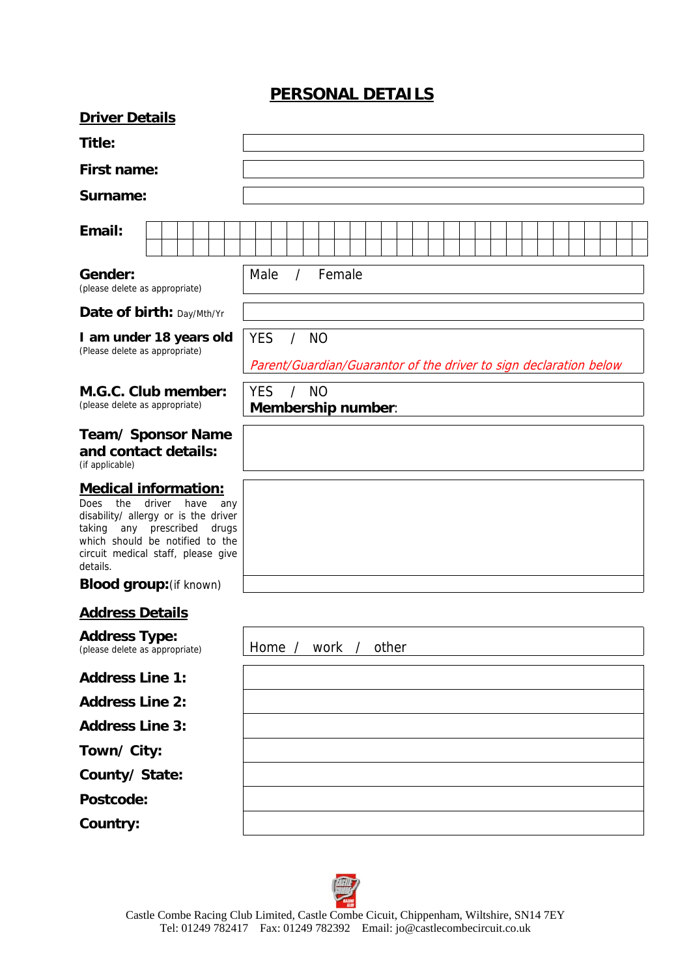#### **PERSONAL DETAILS**

| <b>Driver Details</b>                                                                                                                                                                                                                           |                                                                                         |
|-------------------------------------------------------------------------------------------------------------------------------------------------------------------------------------------------------------------------------------------------|-----------------------------------------------------------------------------------------|
| Title:                                                                                                                                                                                                                                          |                                                                                         |
| <b>First name:</b>                                                                                                                                                                                                                              |                                                                                         |
| Surname:                                                                                                                                                                                                                                        |                                                                                         |
| Email:                                                                                                                                                                                                                                          |                                                                                         |
| Gender:<br>(please delete as appropriate)                                                                                                                                                                                                       | Male<br>Female<br>$\prime$                                                              |
| Date of birth: Day/Mth/Yr                                                                                                                                                                                                                       |                                                                                         |
| I am under 18 years old<br>(Please delete as appropriate)                                                                                                                                                                                       | <b>YES</b><br>/ NO<br>Parent/Guardian/Guarantor of the driver to sign declaration below |
| M.G.C. Club member:<br>(please delete as appropriate)                                                                                                                                                                                           | <b>YES</b><br><b>NO</b><br>$\sqrt{2}$<br>Membership number:                             |
| Team/ Sponsor Name<br>and contact details:<br>(if applicable)                                                                                                                                                                                   |                                                                                         |
| <b>Medical information:</b><br>driver<br><b>Does</b><br>the<br>have<br>any<br>disability/ allergy or is the driver<br>prescribed<br>taking<br>any<br>drugs<br>which should be notified to the<br>circuit medical staff, please give<br>details. |                                                                                         |
| <b>Blood group:</b> (if known)                                                                                                                                                                                                                  |                                                                                         |
| <b>Address Details</b>                                                                                                                                                                                                                          |                                                                                         |
| <b>Address Type:</b><br>(please delete as appropriate)                                                                                                                                                                                          | other<br>Home $/$<br>work<br>$\sqrt{ }$                                                 |
| <b>Address Line 1:</b>                                                                                                                                                                                                                          |                                                                                         |
| <b>Address Line 2:</b>                                                                                                                                                                                                                          |                                                                                         |
| <b>Address Line 3:</b>                                                                                                                                                                                                                          |                                                                                         |
| Town/ City:                                                                                                                                                                                                                                     |                                                                                         |
| County/State:                                                                                                                                                                                                                                   |                                                                                         |
| Postcode:                                                                                                                                                                                                                                       |                                                                                         |
| Country:                                                                                                                                                                                                                                        |                                                                                         |

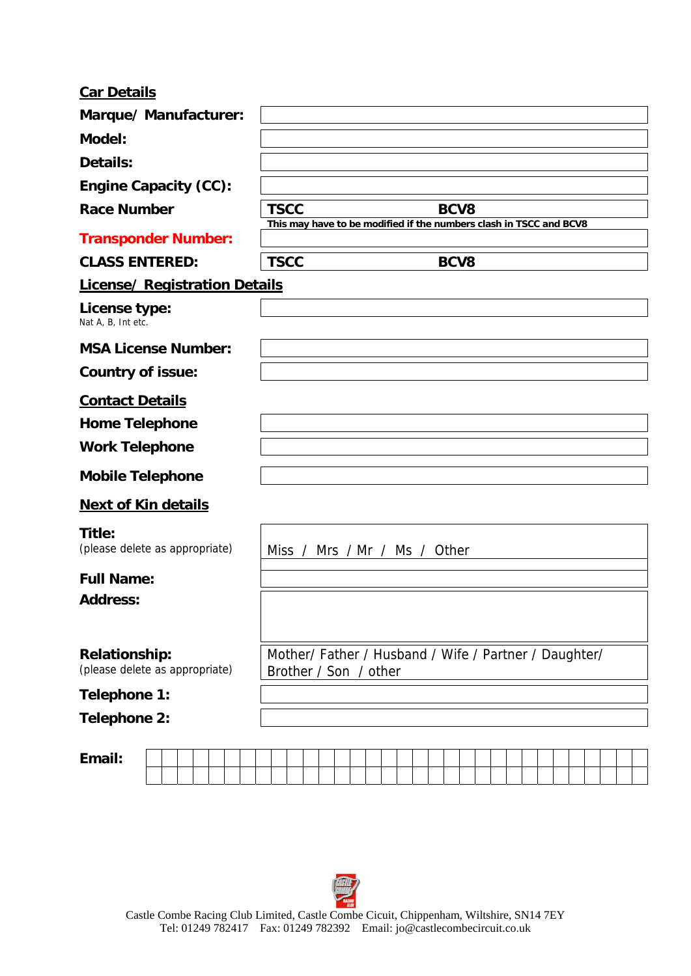#### **Car Details**

| Marque/Manufacturer:                                   |                                                                                           |
|--------------------------------------------------------|-------------------------------------------------------------------------------------------|
| Model:                                                 |                                                                                           |
| Details:                                               |                                                                                           |
| <b>Engine Capacity (CC):</b>                           |                                                                                           |
| <b>Race Number</b>                                     | <b>TSCC</b><br>BCV8<br>This may have to be modified if the numbers clash in TSCC and BCV8 |
| <b>Transponder Number:</b>                             |                                                                                           |
| <b>CLASS ENTERED:</b>                                  | <b>TSCC</b><br>BCV8                                                                       |
| <b>License/ Registration Details</b>                   |                                                                                           |
| License type:<br>Nat A, B, Int etc.                    |                                                                                           |
| <b>MSA License Number:</b>                             |                                                                                           |
| <b>Country of issue:</b>                               |                                                                                           |
| <b>Contact Details</b>                                 |                                                                                           |
| <b>Home Telephone</b>                                  |                                                                                           |
| <b>Work Telephone</b>                                  |                                                                                           |
| <b>Mobile Telephone</b>                                |                                                                                           |
| <b>Next of Kin details</b>                             |                                                                                           |
| Title:<br>(please delete as appropriate)               | Miss / Mrs / Mr / Ms / Other                                                              |
| <b>Full Name:</b>                                      |                                                                                           |
| <b>Address:</b>                                        |                                                                                           |
|                                                        |                                                                                           |
| <b>Relationship:</b><br>(please delete as appropriate) | Mother/ Father / Husband / Wife / Partner / Daughter/<br>Brother / Son / other            |
| Telephone 1:                                           |                                                                                           |
| Telephone 2:                                           |                                                                                           |
|                                                        |                                                                                           |
| Email:                                                 |                                                                                           |